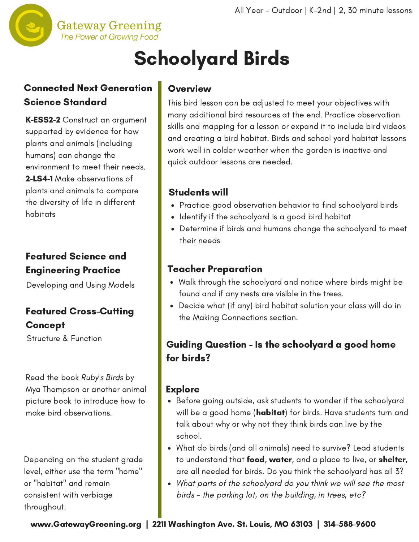

# Schoolyard Birds

## Connected Next Generation Science Standard

K-ESS2-2 Construct an argument supported by evidence for how plants and animals (including humans) can change the environment to meet their needs. 2-LS4-1 Make observations of plants and animals to compare the diversity of life in different habitats

## Featured Science and Engineering Practice

Developing and Using Models

## Featured Cross-Cutting Concept

Structure & Function

Read the book Ruby's Birds by Mya Thompson or another animal picture book to introduce how to make bird observations.

Depending on the student grade level, either use the term "home" or "habitat" and remain consistent with verbiage throughout.

## Overview

This bird lesson can be adjusted to meet your objectives with many additional bird resources at the end. Practice [observation](http://www.gatewaygreening.org/wp-content/uploads/2018/08/Gateway-Greening-Planting-Calendar-2018.pdf) skills and mapping for a lesson or expand it to include bird videos and creating a bird habitat. Birds and school yard habitat lessons work well in colder weather when the garden is inactive and quick outdoor lessons are needed.

## Students will

- Practice good observation behavior to find schoolyard birds
- Identify if the schoolyard is a good bird habitat
- Determine if birds and humans change the schoolyard to meet their needs

## Teacher Preparation

- Walk through the schoolyard and notice where birds might be found and if any nests are visible in the trees.
- Decide what (if any) bird habitat solution your class will do in the Making Connections section.

## Guiding Question - Is the schoolyard a good home for birds?

## **Explore**

- Before going outside, ask students to wonder if the schoolyard will be a good home (habitat) for birds. Have students turn and talk about why or why not they think birds can live by the school.
- What do birds (and all animals) need to survive? Lead students to understand that food, water, and a place to live, or shelter, are all needed for birds. Do you think the schoolyard has all 3?
- What parts of the schoolyard do you think we will see the most birds - the parking lot, on the building, in trees, etc?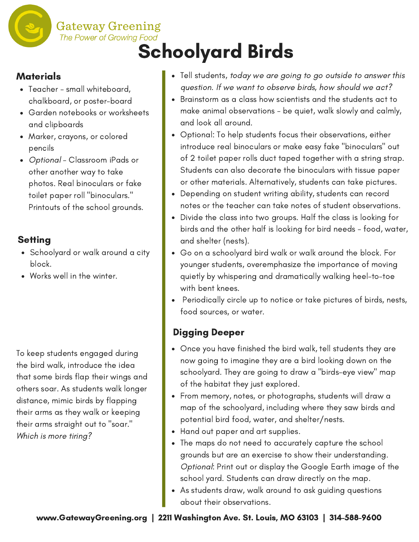# The Power of Growing Food Schoolyard Birds

### **Materials**

- Teacher small whiteboard, chalkboard, or poster-board
- Garden notebooks or worksheets and clipboards

**Gateway Greening** 

- Marker, crayons, or colored pencils
- Optional Classroom iPads or other another way to take photos. Real binoculars or fake toilet paper roll "binoculars." Printouts of the school grounds.

## **Setting**

- Schoolyard or walk around a city block.
- Works well in the winter.

To keep students engaged during the bird walk, introduce the idea that some birds flap their wings and others soar. As students walk longer distance, mimic birds by flapping their arms as they walk or keeping their arms straight out to "soar." Which is more tiring?

- Tell students, today we are going to go outside to answer this question. If we want to observe birds, how should we act?
- Brainstorm as a class how scientists and the students act to make animal observations - be quiet, walk slowly and calmly, and look all around.
- Optional: To help students focus their observations, either introduce real binoculars or make easy fake "binoculars" out of 2 toilet paper rolls duct taped together with a string strap. Students can also decorate the binoculars with tissue paper or other materials. Alternatively, students can take pictures.
- Depending on student writing ability, students can record notes or the teacher can take notes of student observations.
- Divide the class into two groups. Half the class is looking for birds and the other half is looking for bird needs - food, water, and shelter (nests).
- Go on a schoolyard bird walk or walk around the block. For younger students, overemphasize the importance of moving quietly by whispering and dramatically walking heel-to-toe with bent knees.
- Periodically circle up to notice or take pictures of birds, nests, food sources, or water.

## Digging Deeper

- Once you have finished the bird walk, tell students they are now going to imagine they are a bird looking down on the schoolyard. They are going to draw a "birds-eye view" map of the habitat they just explored.
- From memory, notes, or photographs, students will draw a map of the schoolyard, including where they saw birds and potential bird food, water, and shelter/nests.
- Hand out paper and art supplies.
- The maps do not need to accurately capture the school grounds but are an exercise to show their understanding. Optional: Print out or display the Google Earth image of the school yard. Students can draw directly on the map.
- As students draw, walk around to ask guiding questions about their observations.